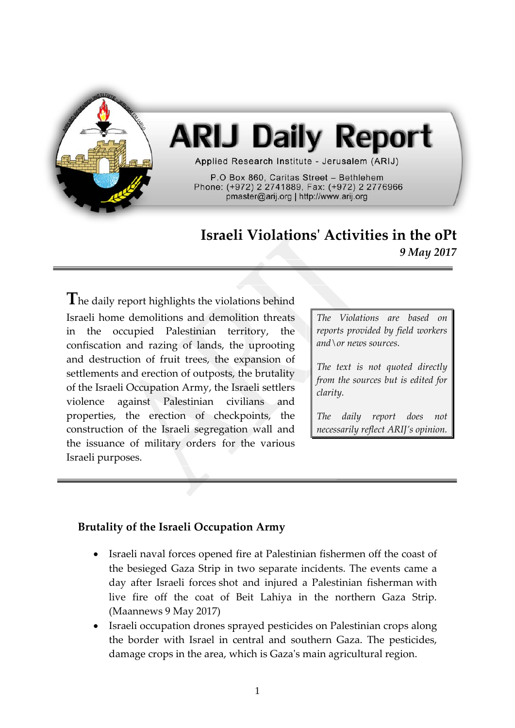

# **ARIJ Daily Report**

Applied Research Institute - Jerusalem (ARIJ)

P.O Box 860, Caritas Street - Bethlehem Phone: (+972) 2 2741889, Fax: (+972) 2 2776966 pmaster@arij.org | http://www.arij.org

# **Israeli Violations' Activities in the oPt** *9 May 2017*

**T**he daily report highlights the violations behind Israeli home demolitions and demolition threats in the occupied Palestinian territory, the confiscation and razing of lands, the uprooting and destruction of fruit trees, the expansion of settlements and erection of outposts, the brutality of the Israeli Occupation Army, the Israeli settlers violence against Palestinian civilians and properties, the erection of checkpoints, the construction of the Israeli segregation wall and the issuance of military orders for the various Israeli purposes.

*The Violations are based on reports provided by field workers and\or news sources.*

*The text is not quoted directly from the sources but is edited for clarity.*

*The daily report does not necessarily reflect ARIJ's opinion.*

## **Brutality of the Israeli Occupation Army**

- Israeli naval forces opened fire at Palestinian fishermen off the coast of the besieged Gaza Strip in two separate incidents. The events came a day after Israeli forces shot and injured a Palestinian fisherman with live fire off the coat of Beit Lahiya in the northern Gaza Strip. (Maannews 9 May 2017)
- Israeli occupation drones sprayed pesticides on Palestinian crops along the border with Israel in central and southern Gaza. The pesticides, damage crops in the area, which is Gaza's main agricultural region.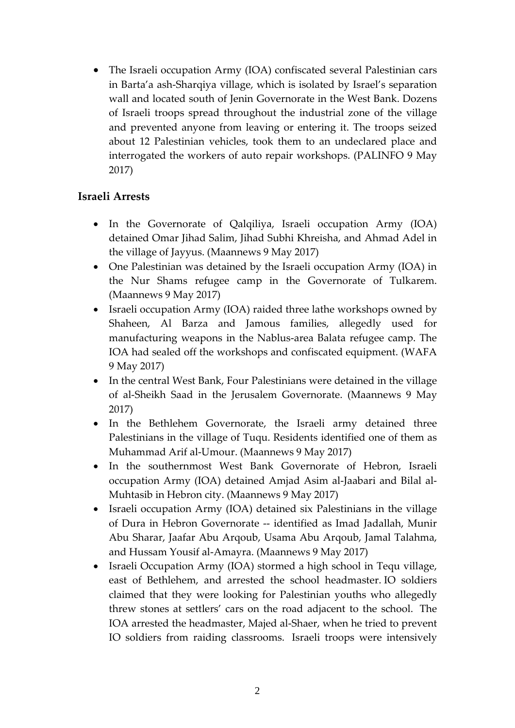• The Israeli occupation Army (IOA) confiscated several Palestinian cars in Barta'a ash-Sharqiya village, which is isolated by Israel's separation wall and located south of Jenin Governorate in the West Bank. Dozens of Israeli troops spread throughout the industrial zone of the village and prevented anyone from leaving or entering it. The troops seized about 12 Palestinian vehicles, took them to an undeclared place and interrogated the workers of auto repair workshops. (PALINFO 9 May 2017)

#### **Israeli Arrests**

- In the Governorate of Qalqiliya, Israeli occupation Army (IOA) detained Omar Jihad Salim, Jihad Subhi Khreisha, and Ahmad Adel in the village of Jayyus. (Maannews 9 May 2017)
- One Palestinian was detained by the Israeli occupation Army (IOA) in the Nur Shams refugee camp in the Governorate of Tulkarem. (Maannews 9 May 2017)
- Israeli occupation Army (IOA) raided three lathe workshops owned by Shaheen, Al Barza and Jamous families, allegedly used for manufacturing weapons in the Nablus-area Balata refugee camp. The IOA had sealed off the workshops and confiscated equipment. (WAFA 9 May 2017)
- In the central West Bank, Four Palestinians were detained in the village of al-Sheikh Saad in the Jerusalem Governorate. (Maannews 9 May 2017)
- In the Bethlehem Governorate, the Israeli army detained three Palestinians in the village of Tuqu. Residents identified one of them as Muhammad Arif al-Umour. (Maannews 9 May 2017)
- In the southernmost West Bank Governorate of Hebron, Israeli occupation Army (IOA) detained Amjad Asim al-Jaabari and Bilal al-Muhtasib in Hebron city. (Maannews 9 May 2017)
- Israeli occupation Army (IOA) detained six Palestinians in the village of Dura in Hebron Governorate -- identified as Imad Jadallah, Munir Abu Sharar, Jaafar Abu Arqoub, Usama Abu Arqoub, Jamal Talahma, and Hussam Yousif al-Amayra. (Maannews 9 May 2017)
- Israeli Occupation Army (IOA) stormed a high school in Tequ village, east of Bethlehem, and arrested the school headmaster. IO soldiers claimed that they were looking for Palestinian youths who allegedly threw stones at settlers' cars on the road adjacent to the school. The IOA arrested the headmaster, Majed al-Shaer, when he tried to prevent IO soldiers from raiding classrooms. Israeli troops were intensively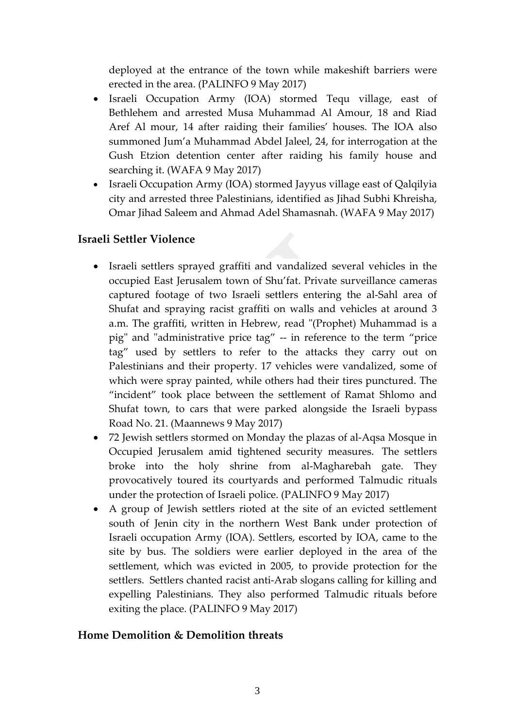deployed at the entrance of the town while makeshift barriers were erected in the area. (PALINFO 9 May 2017)

- Israeli Occupation Army (IOA) stormed Tequ village, east of Bethlehem and arrested Musa Muhammad Al Amour, 18 and Riad Aref Al mour, 14 after raiding their families' houses. The IOA also summoned Jum'a Muhammad Abdel Jaleel, 24, for interrogation at the Gush Etzion detention center after raiding his family house and searching it. (WAFA 9 May 2017)
- Israeli Occupation Army (IOA) stormed Jayyus village east of Qalqilyia city and arrested three Palestinians, identified as Jihad Subhi Khreisha, Omar Jihad Saleem and Ahmad Adel Shamasnah. (WAFA 9 May 2017)

# **Israeli Settler Violence**

- Israeli settlers sprayed graffiti and vandalized several vehicles in the occupied East Jerusalem town of Shu'fat. Private surveillance cameras captured footage of two Israeli settlers entering the al-Sahl area of Shufat and spraying racist graffiti on walls and vehicles at around 3 a.m. The graffiti, written in Hebrew, read "(Prophet) Muhammad is a pig" and "administrative price tag" -- in reference to the term "price tag" used by settlers to refer to the attacks they carry out on Palestinians and their property. 17 vehicles were vandalized, some of which were spray painted, while others had their tires punctured. The "incident" took place between the settlement of Ramat Shlomo and Shufat town, to cars that were parked alongside the Israeli bypass Road No. 21. (Maannews 9 May 2017)
- 72 Jewish settlers stormed on Monday the plazas of al-Aqsa Mosque in Occupied Jerusalem amid tightened security measures. The settlers broke into the holy shrine from al-Magharebah gate. They provocatively toured its courtyards and performed Talmudic rituals under the protection of Israeli police. (PALINFO 9 May 2017)
- A group of Jewish settlers rioted at the site of an evicted settlement south of Jenin city in the northern West Bank under protection of Israeli occupation Army (IOA). Settlers, escorted by IOA, came to the site by bus. The soldiers were earlier deployed in the area of the settlement, which was evicted in 2005, to provide protection for the settlers. Settlers chanted racist anti-Arab slogans calling for killing and expelling Palestinians. They also performed Talmudic rituals before exiting the place. (PALINFO 9 May 2017)

## **Home Demolition & Demolition threats**